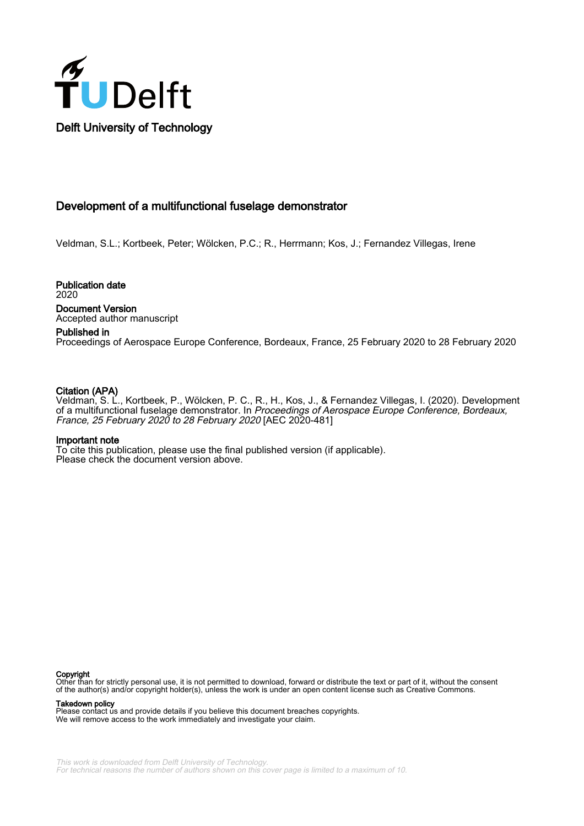

# Development of a multifunctional fuselage demonstrator

Veldman, S.L.; Kortbeek, Peter; Wölcken, P.C.; R., Herrmann; Kos, J.; Fernandez Villegas, Irene

Publication date 2020 Document Version Accepted author manuscript

# Published in

Proceedings of Aerospace Europe Conference, Bordeaux, France, 25 February 2020 to 28 February 2020

# Citation (APA)

Veldman, S. L., Kortbeek, P., Wölcken, P. C., R., H., Kos, J., & Fernandez Villegas, I. (2020). Development of a multifunctional fuselage demonstrator. In Proceedings of Aerospace Europe Conference, Bordeaux, France, 25 February 2020 to 28 February 2020 [AEC 2020-481]

#### Important note

To cite this publication, please use the final published version (if applicable). Please check the document version above.

#### Copyright

Other than for strictly personal use, it is not permitted to download, forward or distribute the text or part of it, without the consent of the author(s) and/or copyright holder(s), unless the work is under an open content license such as Creative Commons.

Takedown policy

Please contact us and provide details if you believe this document breaches copyrights. We will remove access to the work immediately and investigate your claim.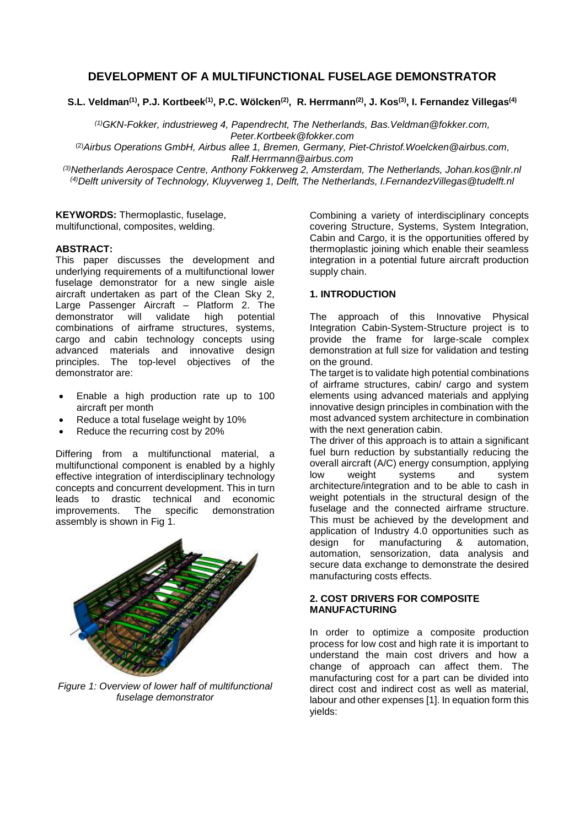# **DEVELOPMENT OF A MULTIFUNCTIONAL FUSELAGE DEMONSTRATOR**

**S.L. Veldman(1), P.J. Kortbeek(1), P.C. Wölcken(2), R. Herrmann(2), J. Kos(3), I. Fernandez Villegas(4)**

*(1)GKN-Fokker, industrieweg 4, Papendrecht, The Netherlands, [Bas.Veldman@fokker.com,](mailto:Bas.Veldman@fokker.com) [Peter.Kortbeek@fokker.com](mailto:Peter.Kortbeek@fokker.com)*

(2)*Airbus Operations GmbH, Airbus allee 1, Bremen, Germany, [Piet-Christof.Woelcken@airbus.com](mailto:Piet-Christof.Woelcken@airbus.com)*, *[Ralf.Herrmann@airbus.com](mailto:Ralf.Herrmann@airbus.com)*

*(3)Netherlands Aerospace Centre, Anthony Fokkerweg 2, Amsterdam, The Netherlands, Johan.kos@nlr.nl (4)Delft university of Technology, Kluyverweg 1, Delft, The Netherlands, I.FernandezVillegas@tudelft.nl* 

**KEYWORDS:** Thermoplastic, fuselage, multifunctional, composites, welding.

### **ABSTRACT:**

This paper discusses the development and underlying requirements of a multifunctional lower fuselage demonstrator for a new single aisle aircraft undertaken as part of the Clean Sky 2, Large Passenger Aircraft – Platform 2. The<br>demonstrator will validate high potential demonstrator will validate high potential combinations of airframe structures, systems, cargo and cabin technology concepts using advanced materials and innovative design principles. The top-level objectives of the demonstrator are:

- Enable a high production rate up to 100 aircraft per month
- Reduce a total fuselage weight by 10%
- Reduce the recurring cost by 20%

Differing from a multifunctional material, a multifunctional component is enabled by a highly effective integration of interdisciplinary technology concepts and concurrent development. This in turn leads to drastic technical and economic<br>improvements. The specific demonstration improvements. The specific demonstration assembly is shown in Fig 1.



*Figure 1: Overview of lower half of multifunctional fuselage demonstrator*

Combining a variety of interdisciplinary concepts covering Structure, Systems, System Integration, Cabin and Cargo, it is the opportunities offered by thermoplastic joining which enable their seamless integration in a potential future aircraft production supply chain.

# **1. INTRODUCTION**

The approach of this Innovative Physical Integration Cabin-System-Structure project is to provide the frame for large-scale complex demonstration at full size for validation and testing on the ground.

The target is to validate high potential combinations of airframe structures, cabin/ cargo and system elements using advanced materials and applying innovative design principles in combination with the most advanced system architecture in combination with the next generation cabin.

The driver of this approach is to attain a significant fuel burn reduction by substantially reducing the overall aircraft (A/C) energy consumption, applying low weight systems and system architecture/integration and to be able to cash in weight potentials in the structural design of the fuselage and the connected airframe structure. This must be achieved by the development and application of Industry 4.0 opportunities such as design for manufacturing & automation, automation, sensorization, data analysis and secure data exchange to demonstrate the desired manufacturing costs effects.

## **2. COST DRIVERS FOR COMPOSITE MANUFACTURING**

In order to optimize a composite production process for low cost and high rate it is important to understand the main cost drivers and how a change of approach can affect them. The manufacturing cost for a part can be divided into direct cost and indirect cost as well as material, labour and other expenses [\[1\].](#page-6-0) In equation form this yields: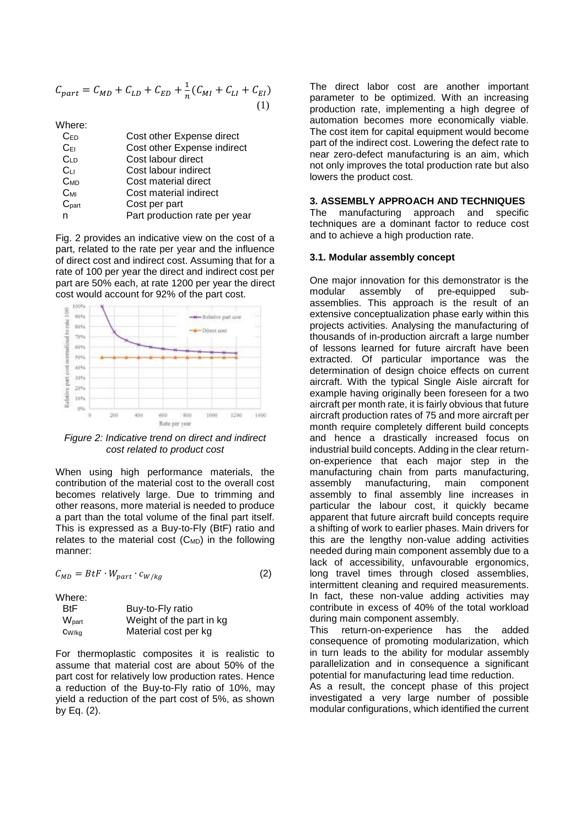$$
C_{part} = C_{MD} + C_{LD} + C_{ED} + \frac{1}{n}(C_{MI} + C_{LI} + C_{EI})
$$
\n(1)

Where:

| $C_{ED}$        | Cost other Expense direct     |
|-----------------|-------------------------------|
| $C_{E1}$        | Cost other Expense indirect   |
| C <sub>LD</sub> | Cost labour direct            |
| C <sub>LI</sub> | Cost labour indirect          |
| $C_{MD}$        | Cost material direct          |
| $C_{ML}$        | Cost material indirect        |
| $C_{part}$      | Cost per part                 |
| n               | Part production rate per year |

Fig. 2 provides an indicative view on the cost of a part, related to the rate per year and the influence of direct cost and indirect cost. Assuming that for a rate of 100 per year the direct and indirect cost per part are 50% each, at rate 1200 per year the direct cost would account for 92% of the part cost.



*Figure 2: Indicative trend on direct and indirect cost related to product cost*

When using high performance materials, the contribution of the material cost to the overall cost becomes relatively large. Due to trimming and other reasons, more material is needed to produce a part than the total volume of the final part itself. This is expressed as a Buy-to-Fly (BtF) ratio and relates to the material cost  $(C_{MD})$  in the following manner:

 $C_{MD} = BtF \cdot W_{part} \cdot c_{W/ka}$  (2)

Where:

| <b>BtF</b>                   | Buy-to-Fly ratio         |
|------------------------------|--------------------------|
| $\mathsf{W}_{\mathsf{part}}$ | Weight of the part in kg |
| CW/ka                        | Material cost per kg     |

For thermoplastic composites it is realistic to assume that material cost are about 50% of the part cost for relatively low production rates. Hence a reduction of the Buy-to-Fly ratio of 10%, may yield a reduction of the part cost of 5%, as shown by Eq. (2).

The direct labor cost are another important parameter to be optimized. With an increasing production rate, implementing a high degree of automation becomes more economically viable. The cost item for capital equipment would become part of the indirect cost. Lowering the defect rate to near zero-defect manufacturing is an aim, which not only improves the total production rate but also lowers the product cost.

#### **3. ASSEMBLY APPROACH AND TECHNIQUES**

The manufacturing approach and specific techniques are a dominant factor to reduce cost and to achieve a high production rate.

#### **3.1. Modular assembly concept**

One major innovation for this demonstrator is the modular assembly of pre-equipped subassemblies. This approach is the result of an extensive conceptualization phase early within this projects activities. Analysing the manufacturing of thousands of in-production aircraft a large number of lessons learned for future aircraft have been extracted. Of particular importance was the determination of design choice effects on current aircraft. With the typical Single Aisle aircraft for example having originally been foreseen for a two aircraft per month rate, it is fairly obvious that future aircraft production rates of 75 and more aircraft per month require completely different build concepts and hence a drastically increased focus on industrial build concepts. Adding in the clear returnon-experience that each major step in the manufacturing chain from parts manufacturing, assembly manufacturing, main component assembly to final assembly line increases in particular the labour cost, it quickly became apparent that future aircraft build concepts require a shifting of work to earlier phases. Main drivers for this are the lengthy non-value adding activities needed during main component assembly due to a lack of accessibility, unfavourable ergonomics, long travel times through closed assemblies, intermittent cleaning and required measurements. In fact, these non-value adding activities may contribute in excess of 40% of the total workload during main component assembly.

This return-on-experience has the added consequence of promoting modularization, which in turn leads to the ability for modular assembly parallelization and in consequence a significant potential for manufacturing lead time reduction.

As a result, the concept phase of this project investigated a very large number of possible modular configurations, which identified the current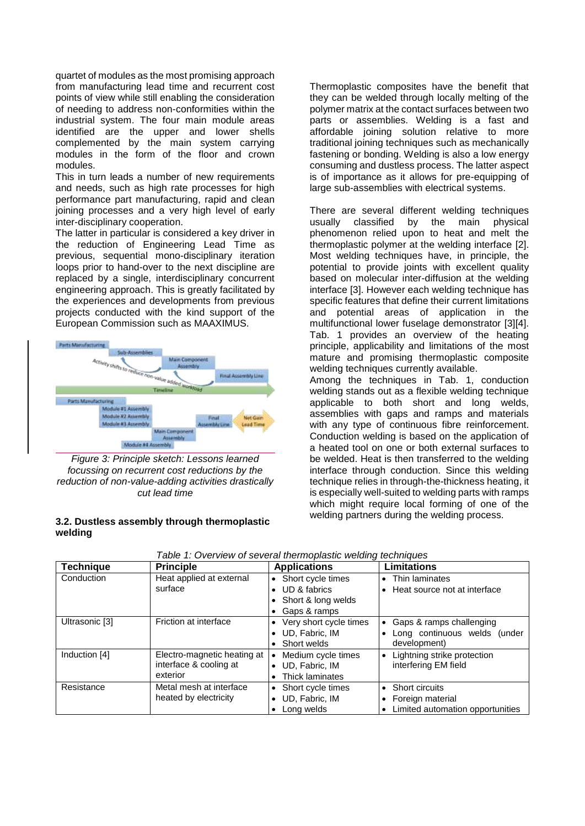quartet of modules as the most promising approach from manufacturing lead time and recurrent cost points of view while still enabling the consideration of needing to address non-conformities within the industrial system. The four main module areas identified are the upper and lower shells complemented by the main system carrying modules in the form of the floor and crown modules.

This in turn leads a number of new requirements and needs, such as high rate processes for high performance part manufacturing, rapid and clean joining processes and a very high level of early inter-disciplinary cooperation.

The latter in particular is considered a key driver in the reduction of Engineering Lead Time as previous, sequential mono-disciplinary iteration loops prior to hand-over to the next discipline are replaced by a single, interdisciplinary concurrent engineering approach. This is greatly facilitated by the experiences and developments from previous projects conducted with the kind support of the European Commission such as MAAXIMUS.



*Figure 3: Principle sketch: Lessons learned focussing on recurrent cost reductions by the reduction of non-value-adding activities drastically cut lead time*

# **3.2. Dustless assembly through thermoplastic welding**

Thermoplastic composites have the benefit that they can be welded through locally melting of the polymer matrix at the contact surfaces between two parts or assemblies. Welding is a fast and affordable joining solution relative to more traditional joining techniques such as mechanically fastening or bonding. Welding is also a low energy consuming and dustless process. The latter aspect is of importance as it allows for pre-equipping of large sub-assemblies with electrical systems.

There are several different welding techniques<br>usually classified by the main physical usually classified by the phenomenon relied upon to heat and melt the thermoplastic polymer at the welding interface [\[2\].](#page-6-1) Most welding techniques have, in principle, the potential to provide joints with excellent quality based on molecular inter-diffusion at the welding interface [\[3\].](#page-6-2) However each welding technique has specific features that define their current limitations and potential areas of application in the multifunctional lower fuselage demonstrator [\[3\]\[4\].](#page-6-2) Tab. 1 provides an overview of the heating principle, applicability and limitations of the most mature and promising thermoplastic composite welding techniques currently available.

Among the techniques in Tab. 1, conduction welding stands out as a flexible welding technique applicable to both short and long welds, assemblies with gaps and ramps and materials with any type of continuous fibre reinforcement. Conduction welding is based on the application of a heated tool on one or both external surfaces to be welded. Heat is then transferred to the welding interface through conduction. Since this welding technique relies in through-the-thickness heating, it is especially well-suited to welding parts with ramps which might require local forming of one of the welding partners during the welding process.

| <b>Technique</b> | <b>Principle</b>                                 | <b>Applications</b>             | <b>Limitations</b>                            |
|------------------|--------------------------------------------------|---------------------------------|-----------------------------------------------|
| Conduction       | Heat applied at external                         | Short cycle times<br>$\bullet$  | • Thin laminates                              |
|                  | surface                                          | UD & fabrics                    | • Heat source not at interface                |
|                  |                                                  | Short & long welds              |                                               |
|                  |                                                  | Gaps & ramps                    |                                               |
| Ultrasonic [3]   | Friction at interface                            | Very short cycle times          | • Gaps & ramps challenging                    |
|                  |                                                  | UD, Fabric, IM                  | Long continuous welds (under                  |
|                  |                                                  | Short welds                     | development)                                  |
| Induction [4]    | Electro-magnetic heating at                      | Medium cycle times<br>$\bullet$ | Lightning strike protection                   |
|                  | interface & cooling at                           | UD, Fabric, IM<br>$\bullet$     | interfering EM field                          |
|                  | exterior                                         | Thick laminates                 |                                               |
| Resistance       | Metal mesh at interface<br>heated by electricity | Short cycle times               | • Short circuits                              |
|                  |                                                  | UD, Fabric, IM                  | • Foreign material                            |
|                  |                                                  | Long welds                      | Limited automation opportunities<br>$\bullet$ |

*Table 1: Overview of several thermoplastic welding techniques*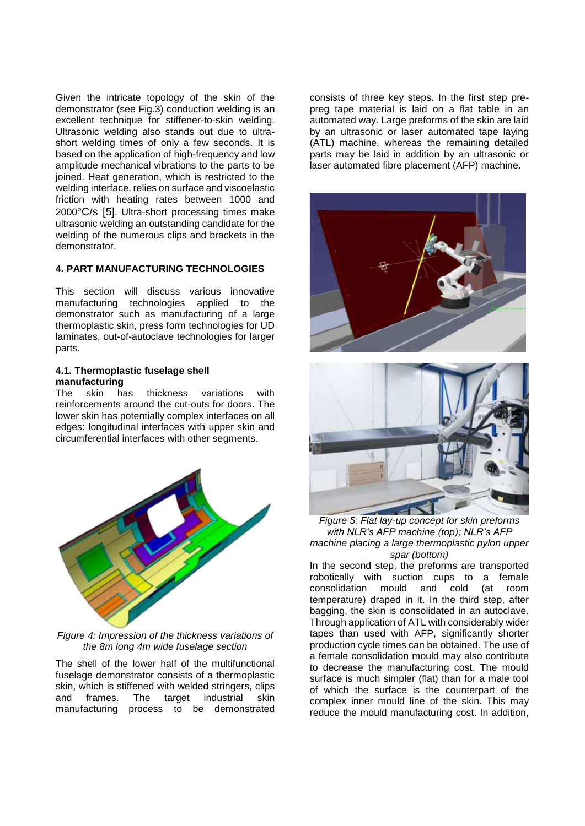Given the intricate topology of the skin of the demonstrator (see Fig.3) conduction welding is an excellent technique for stiffener-to-skin welding. Ultrasonic welding also stands out due to ultrashort welding times of only a few seconds. It is based on the application of high-frequency and low amplitude mechanical vibrations to the parts to be joined. Heat generation, which is restricted to the welding interface, relies on surface and viscoelastic friction with heating rates between 1000 and  $2000^{\circ}$ C/s [\[5\]](#page-6-4). Ultra-short processing times make ultrasonic welding an outstanding candidate for the welding of the numerous clips and brackets in the demonstrator.

# **4. PART MANUFACTURING TECHNOLOGIES**

This section will discuss various innovative manufacturing technologies applied to the demonstrator such as manufacturing of a large thermoplastic skin, press form technologies for UD laminates, out-of-autoclave technologies for larger parts.

# **4.1. Thermoplastic fuselage shell manufacturing**

The skin has thickness variations with reinforcements around the cut-outs for doors. The lower skin has potentially complex interfaces on all edges: longitudinal interfaces with upper skin and circumferential interfaces with other segments.



*Figure 4: Impression of the thickness variations of the 8m long 4m wide fuselage section* 

The shell of the lower half of the multifunctional fuselage demonstrator consists of a thermoplastic skin, which is stiffened with welded stringers, clips and frames. The target industrial skin manufacturing process to be demonstrated

consists of three key steps. In the first step prepreg tape material is laid on a flat table in an automated way. Large preforms of the skin are laid by an ultrasonic or laser automated tape laying (ATL) machine, whereas the remaining detailed parts may be laid in addition by an ultrasonic or laser automated fibre placement (AFP) machine.





*Figure 5: Flat lay-up concept for skin preforms with NLR's AFP machine (top); NLR's AFP machine placing a large thermoplastic pylon upper spar (bottom)*

In the second step, the preforms are transported robotically with suction cups to a female consolidation mould and cold (at room temperature) draped in it. In the third step, after bagging, the skin is consolidated in an autoclave. Through application of ATL with considerably wider tapes than used with AFP, significantly shorter production cycle times can be obtained. The use of a female consolidation mould may also contribute to decrease the manufacturing cost. The mould surface is much simpler (flat) than for a male tool of which the surface is the counterpart of the complex inner mould line of the skin. This may reduce the mould manufacturing cost. In addition,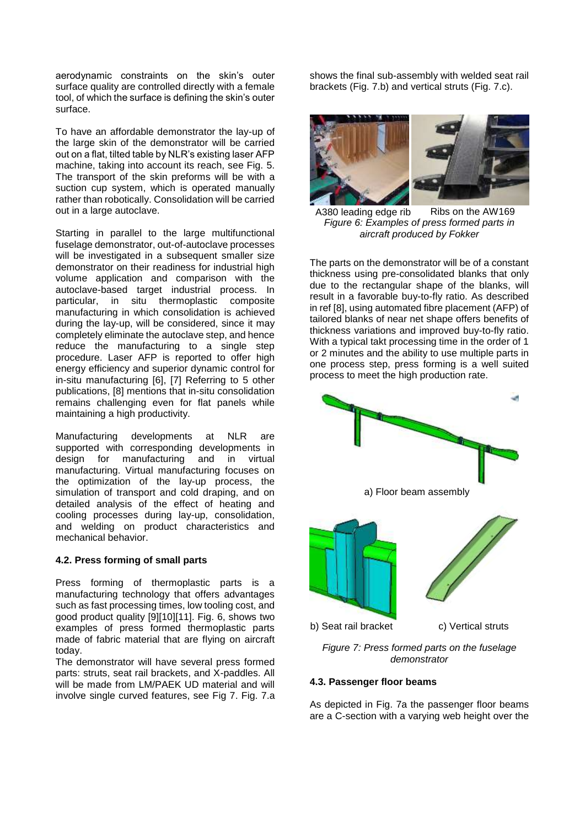aerodynamic constraints on the skin's outer surface quality are controlled directly with a female tool, of which the surface is defining the skin's outer surface.

To have an affordable demonstrator the lay-up of the large skin of the demonstrator will be carried out on a flat, tilted table by NLR's existing laser AFP machine, taking into account its reach, see Fig. 5. The transport of the skin preforms will be with a suction cup system, which is operated manually rather than robotically. Consolidation will be carried out in a large autoclave.

Starting in parallel to the large multifunctional fuselage demonstrator, out-of-autoclave processes will be investigated in a subsequent smaller size demonstrator on their readiness for industrial high volume application and comparison with the autoclave-based target industrial process. In particular, in situ thermoplastic composite manufacturing in which consolidation is achieved during the lay-up, will be considered, since it may completely eliminate the autoclave step, and hence reduce the manufacturing to a single step procedure. Laser AFP is reported to offer high energy efficiency and superior dynamic control for in-situ manufacturing [\[6\],](#page-6-5) [\[7\]](#page-6-6) Referring to 5 other publications, [\[8\]](#page-6-7) mentions that in-situ consolidation remains challenging even for flat panels while maintaining a high productivity.

Manufacturing developments at NLR are supported with corresponding developments in design for manufacturing and in virtual manufacturing. Virtual manufacturing focuses on the optimization of the lay-up process, the simulation of transport and cold draping, and on detailed analysis of the effect of heating and cooling processes during lay-up, consolidation, and welding on product characteristics and mechanical behavior.

## **4.2. Press forming of small parts**

Press forming of thermoplastic parts is a manufacturing technology that offers advantages such as fast processing times, low tooling cost, and good product quality [\[9\]\[10\]](#page-6-8)[\[11\].](#page-7-0) Fig. 6, shows two examples of press formed thermoplastic parts made of fabric material that are flying on aircraft today.

The demonstrator will have several press formed parts: struts, seat rail brackets, and X-paddles. All will be made from LM/PAEK UD material and will involve single curved features, see Fig 7. Fig. 7.a

shows the final sub-assembly with welded seat rail brackets (Fig. 7.b) and vertical struts (Fig. 7.c).



*Figure 6: Examples of press formed parts in aircraft produced by Fokker* A380 leading edge rib Ribs on the AW169

The parts on the demonstrator will be of a constant thickness using pre-consolidated blanks that only due to the rectangular shape of the blanks, will result in a favorable buy-to-fly ratio. As described in re[f \[8\],](#page-6-7) using automated fibre placement (AFP) of tailored blanks of near net shape offers benefits of thickness variations and improved buy-to-fly ratio. With a typical takt processing time in the order of 1 or 2 minutes and the ability to use multiple parts in one process step, press forming is a well suited process to meet the high production rate.



*demonstrator*

# **4.3. Passenger floor beams**

As depicted in Fig. 7a the passenger floor beams are a C-section with a varying web height over the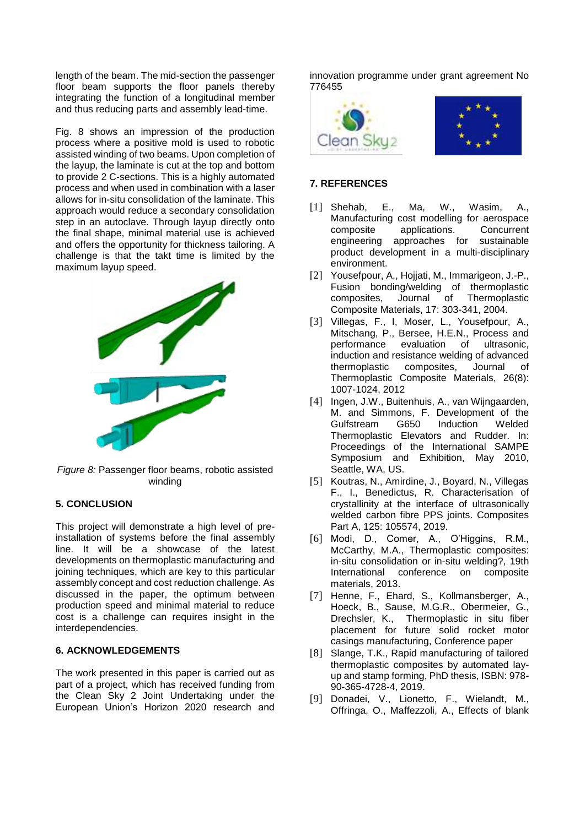length of the beam. The mid-section the passenger floor beam supports the floor panels thereby integrating the function of a longitudinal member and thus reducing parts and assembly lead-time.

Fig. 8 shows an impression of the production process where a positive mold is used to robotic assisted winding of two beams. Upon completion of the layup, the laminate is cut at the top and bottom to provide 2 C-sections. This is a highly automated process and when used in combination with a laser allows for in-situ consolidation of the laminate. This approach would reduce a secondary consolidation step in an autoclave. Through layup directly onto the final shape, minimal material use is achieved and offers the opportunity for thickness tailoring. A challenge is that the takt time is limited by the maximum layup speed.



*Figure 8:* Passenger floor beams, robotic assisted winding

# **5. CONCLUSION**

This project will demonstrate a high level of preinstallation of systems before the final assembly line. It will be a showcase of the latest developments on thermoplastic manufacturing and joining techniques, which are key to this particular assembly concept and cost reduction challenge. As discussed in the paper, the optimum between production speed and minimal material to reduce cost is a challenge can requires insight in the interdependencies.

# **6. ACKNOWLEDGEMENTS**

The work presented in this paper is carried out as part of a project, which has received funding from the Clean Sky 2 Joint Undertaking under the European Union's Horizon 2020 research and

innovation programme under grant agreement No 776455



# **7. REFERENCES**

- <span id="page-6-0"></span>[1] Shehab, E., Ma, W., Wasim, A., Manufacturing cost modelling for aerospace applications. engineering approaches for sustainable product development in a multi-disciplinary environment.
- <span id="page-6-1"></span>[2] Yousefpour, A., Hojjati, M., Immarigeon, J.-P., Fusion bonding/welding of thermoplastic<br>composites, Journal of Thermoplastic Thermoplastic Composite Materials, 17: 303-341, 2004.
- <span id="page-6-2"></span>[3] Villegas, F., I, Moser, L., Yousefpour, A., Mitschang, P., Bersee, H.E.N., Process and performance evaluation of ultrasonic, induction and resistance welding of advanced thermoplastic composites, Journal of Thermoplastic Composite Materials, 26(8): 1007-1024, 2012
- <span id="page-6-3"></span>[4] Ingen, J.W., Buitenhuis, A., van Wijngaarden, M. and Simmons, F. Development of the Gulfstream Thermoplastic Elevators and Rudder. In: Proceedings of the International SAMPE Symposium and Exhibition, May 2010, Seattle, WA, US.
- <span id="page-6-4"></span>[5] Koutras, N., Amirdine, J., Boyard, N., Villegas F., I., Benedictus, R. Characterisation of crystallinity at the interface of ultrasonically welded carbon fibre PPS joints. Composites Part A, 125: 105574, 2019.
- <span id="page-6-5"></span>[6] Modi, D., Comer, A., O'Higgins, R.M., McCarthy, M.A., Thermoplastic composites: in-situ consolidation or in-situ welding?, 19th International conference on composite materials, 2013.
- <span id="page-6-6"></span>[7] Henne, F., Ehard, S., Kollmansberger, A., Hoeck, B., Sause, M.G.R., Obermeier, G., Drechsler, K., Thermoplastic in situ fiber placement for future solid rocket motor casings manufacturing, Conference paper
- <span id="page-6-7"></span>[8] Slange, T.K., Rapid manufacturing of tailored thermoplastic composites by automated layup and stamp forming, PhD thesis, ISBN: 978- 90-365-4728-4, 2019.
- <span id="page-6-8"></span>[9] Donadei, V., Lionetto, F., Wielandt, M., Offringa, O., Maffezzoli, A., Effects of blank